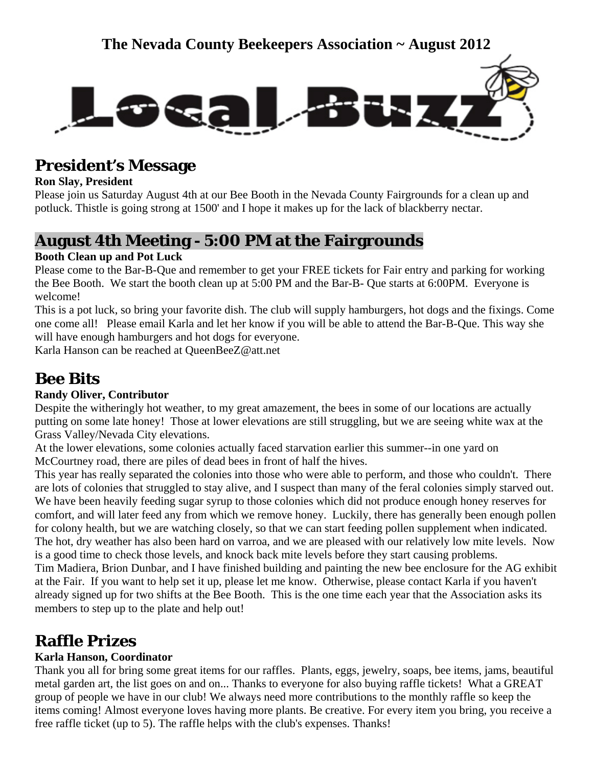

### **President's Message**

#### **Ron Slay, President**

Please join us Saturday August 4th at our Bee Booth in the Nevada County Fairgrounds for a clean up and potluck. Thistle is going strong at 1500' and I hope it makes up for the lack of blackberry nectar.

### **August 4th Meeting - 5:00 PM at the Fairgrounds**

#### **Booth Clean up and Pot Luck**

Please come to the Bar-B-Que and remember to get your FREE tickets for Fair entry and parking for working the Bee Booth. We start the booth clean up at 5:00 PM and the Bar-B- Que starts at 6:00PM. Everyone is welcome!

This is a pot luck, so bring your favorite dish. The club will supply hamburgers, hot dogs and the fixings. Come one come all! Please email Karla and let her know if you will be able to attend the Bar-B-Que. This way she will have enough hamburgers and hot dogs for everyone.

Karla Hanson can be reached at QueenBeeZ@att.net

# **Bee Bits**

#### **Randy Oliver, Contributor**

Despite the witheringly hot weather, to my great amazement, the bees in some of our locations are actually putting on some late honey! Those at lower elevations are still struggling, but we are seeing white wax at the Grass Valley/Nevada City elevations.

At the lower elevations, some colonies actually faced starvation earlier this summer--in one yard on McCourtney road, there are piles of dead bees in front of half the hives.

This year has really separated the colonies into those who were able to perform, and those who couldn't. There are lots of colonies that struggled to stay alive, and I suspect than many of the feral colonies simply starved out. We have been heavily feeding sugar syrup to those colonies which did not produce enough honey reserves for comfort, and will later feed any from which we remove honey. Luckily, there has generally been enough pollen for colony health, but we are watching closely, so that we can start feeding pollen supplement when indicated. The hot, dry weather has also been hard on varroa, and we are pleased with our relatively low mite levels. Now is a good time to check those levels, and knock back mite levels before they start causing problems. Tim Madiera, Brion Dunbar, and I have finished building and painting the new bee enclosure for the AG exhibit at the Fair. If you want to help set it up, please let me know. Otherwise, please contact Karla if you haven't already signed up for two shifts at the Bee Booth. This is the one time each year that the Association asks its members to step up to the plate and help out!

### **Raffle Prizes**

### **Karla Hanson, Coordinator**

Thank you all for bring some great items for our raffles. Plants, eggs, jewelry, soaps, bee items, jams, beautiful metal garden art, the list goes on and on... Thanks to everyone for also buying raffle tickets! What a GREAT group of people we have in our club! We always need more contributions to the monthly raffle so keep the items coming! Almost everyone loves having more plants. Be creative. For every item you bring, you receive a free raffle ticket (up to 5). The raffle helps with the club's expenses. Thanks!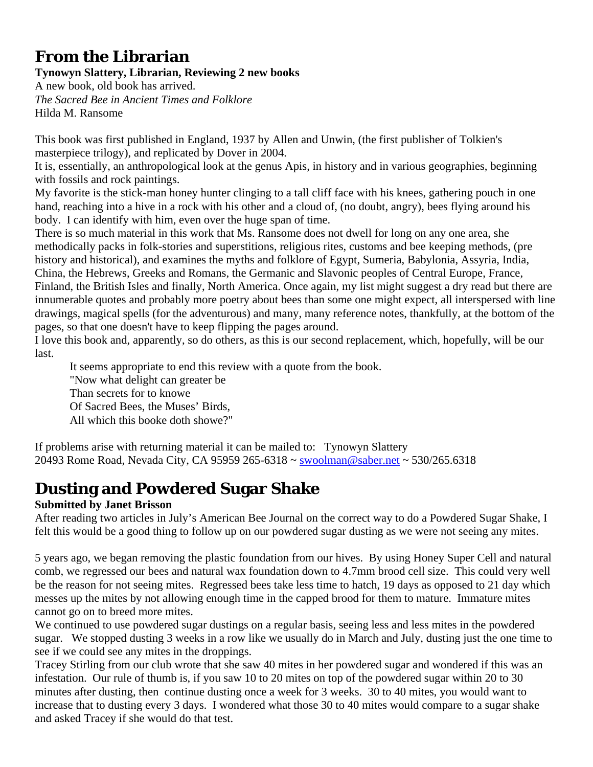### **From the Librarian**

#### **Tynowyn Slattery, Librarian, Reviewing 2 new books**

A new book, old book has arrived. *The Sacred Bee in Ancient Times and Folklore*  Hilda M. Ransome

This book was first published in England, 1937 by Allen and Unwin, (the first publisher of Tolkien's masterpiece trilogy), and replicated by Dover in 2004.

It is, essentially, an anthropological look at the genus Apis, in history and in various geographies, beginning with fossils and rock paintings.

My favorite is the stick-man honey hunter clinging to a tall cliff face with his knees, gathering pouch in one hand, reaching into a hive in a rock with his other and a cloud of, (no doubt, angry), bees flying around his body. I can identify with him, even over the huge span of time.

There is so much material in this work that Ms. Ransome does not dwell for long on any one area, she methodically packs in folk-stories and superstitions, religious rites, customs and bee keeping methods, (pre history and historical), and examines the myths and folklore of Egypt, Sumeria, Babylonia, Assyria, India, China, the Hebrews, Greeks and Romans, the Germanic and Slavonic peoples of Central Europe, France, Finland, the British Isles and finally, North America. Once again, my list might suggest a dry read but there are innumerable quotes and probably more poetry about bees than some one might expect, all interspersed with line drawings, magical spells (for the adventurous) and many, many reference notes, thankfully, at the bottom of the pages, so that one doesn't have to keep flipping the pages around.

I love this book and, apparently, so do others, as this is our second replacement, which, hopefully, will be our last.

 It seems appropriate to end this review with a quote from the book. "Now what delight can greater be Than secrets for to knowe Of Sacred Bees, the Muses' Birds, All which this booke doth showe?"

If problems arise with returning material it can be mailed to: Tynowyn Slattery 20493 Rome Road, Nevada City, CA 95959 265-6318 ~ [swoolman@saber.net](mailto:swoolman@saber.net) ~ 530/265.6318

# **Dusting and Powdered Sugar Shake**

### **Submitted by Janet Brisson**

After reading two articles in July's American Bee Journal on the correct way to do a Powdered Sugar Shake, I felt this would be a good thing to follow up on our powdered sugar dusting as we were not seeing any mites.

5 years ago, we began removing the plastic foundation from our hives. By using Honey Super Cell and natural comb, we regressed our bees and natural wax foundation down to 4.7mm brood cell size. This could very well be the reason for not seeing mites. Regressed bees take less time to hatch, 19 days as opposed to 21 day which messes up the mites by not allowing enough time in the capped brood for them to mature. Immature mites cannot go on to breed more mites.

We continued to use powdered sugar dustings on a regular basis, seeing less and less mites in the powdered sugar. We stopped dusting 3 weeks in a row like we usually do in March and July, dusting just the one time to see if we could see any mites in the droppings.

Tracey Stirling from our club wrote that she saw 40 mites in her powdered sugar and wondered if this was an infestation. Our rule of thumb is, if you saw 10 to 20 mites on top of the powdered sugar within 20 to 30 minutes after dusting, then continue dusting once a week for 3 weeks. 30 to 40 mites, you would want to increase that to dusting every 3 days. I wondered what those 30 to 40 mites would compare to a sugar shake and asked Tracey if she would do that test.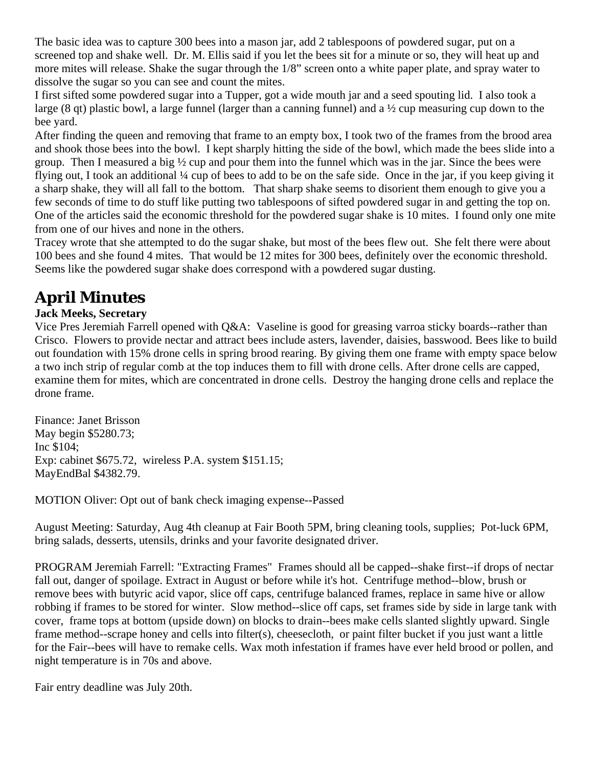The basic idea was to capture 300 bees into a mason jar, add 2 tablespoons of powdered sugar, put on a screened top and shake well. Dr. M. Ellis said if you let the bees sit for a minute or so, they will heat up and more mites will release. Shake the sugar through the 1/8" screen onto a white paper plate, and spray water to dissolve the sugar so you can see and count the mites.

I first sifted some powdered sugar into a Tupper, got a wide mouth jar and a seed spouting lid. I also took a large (8 qt) plastic bowl, a large funnel (larger than a canning funnel) and a ½ cup measuring cup down to the bee yard.

After finding the queen and removing that frame to an empty box, I took two of the frames from the brood area and shook those bees into the bowl. I kept sharply hitting the side of the bowl, which made the bees slide into a group. Then I measured a big ½ cup and pour them into the funnel which was in the jar. Since the bees were flying out, I took an additional ¼ cup of bees to add to be on the safe side. Once in the jar, if you keep giving it a sharp shake, they will all fall to the bottom. That sharp shake seems to disorient them enough to give you a few seconds of time to do stuff like putting two tablespoons of sifted powdered sugar in and getting the top on. One of the articles said the economic threshold for the powdered sugar shake is 10 mites. I found only one mite from one of our hives and none in the others.

Tracey wrote that she attempted to do the sugar shake, but most of the bees flew out. She felt there were about 100 bees and she found 4 mites. That would be 12 mites for 300 bees, definitely over the economic threshold. Seems like the powdered sugar shake does correspond with a powdered sugar dusting.

## **April Minutes**

#### **Jack Meeks, Secretary**

Vice Pres Jeremiah Farrell opened with Q&A: Vaseline is good for greasing varroa sticky boards--rather than Crisco. Flowers to provide nectar and attract bees include asters, lavender, daisies, basswood. Bees like to build out foundation with 15% drone cells in spring brood rearing. By giving them one frame with empty space below a two inch strip of regular comb at the top induces them to fill with drone cells. After drone cells are capped, examine them for mites, which are concentrated in drone cells. Destroy the hanging drone cells and replace the drone frame.

Finance: Janet Brisson May begin \$5280.73; Inc \$104; Exp: cabinet \$675.72, wireless P.A. system \$151.15; MayEndBal \$4382.79.

MOTION Oliver: Opt out of bank check imaging expense--Passed

August Meeting: Saturday, Aug 4th cleanup at Fair Booth 5PM, bring cleaning tools, supplies; Pot-luck 6PM, bring salads, desserts, utensils, drinks and your favorite designated driver.

PROGRAM Jeremiah Farrell: "Extracting Frames" Frames should all be capped--shake first--if drops of nectar fall out, danger of spoilage. Extract in August or before while it's hot. Centrifuge method--blow, brush or remove bees with butyric acid vapor, slice off caps, centrifuge balanced frames, replace in same hive or allow robbing if frames to be stored for winter. Slow method--slice off caps, set frames side by side in large tank with cover, frame tops at bottom (upside down) on blocks to drain--bees make cells slanted slightly upward. Single frame method--scrape honey and cells into filter(s), cheesecloth, or paint filter bucket if you just want a little for the Fair--bees will have to remake cells. Wax moth infestation if frames have ever held brood or pollen, and night temperature is in 70s and above.

Fair entry deadline was July 20th.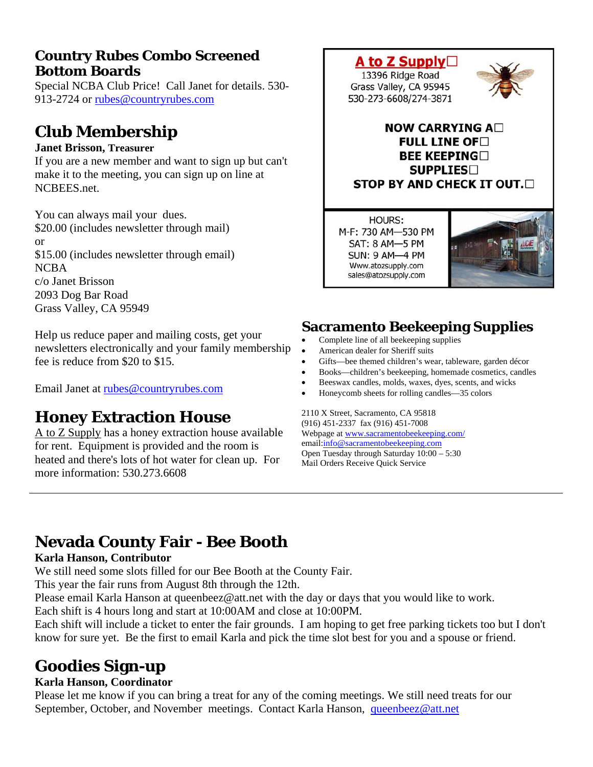### **Country Rubes Combo Screened Bottom Boards**

Special NCBA Club Price! Call Janet for details. 530- 913-2724 or [rubes@countryrubes.com](mailto:rubes@countryrubes.com)

### **Club Membership**

#### **Janet Brisson, Treasurer**

If you are a new member and want to sign up but can't make it to the meeting, you can sign up on line at NCBEES.net.

You can always mail your dues. \$20.00 (includes newsletter through mail) or \$15.00 (includes newsletter through email) NCBA c/o Janet Brisson 2093 Dog Bar Road Grass Valley, CA 95949

Help us reduce paper and mailing costs, get your newsletters electronically and your family membership fee is reduce from \$20 to \$15.

Email Janet at [rubes@countryrubes.com](mailto:rubes@countryrubes.com)

### **Honey Extraction House**

A to Z Supply has a honey extraction house available for rent. Equipment is provided and the room is heated and there's lots of hot water for clean up. For more information: 530.273.6608



**HOURS:** M-F: 730 AM-530 PM SAT: 8 AM-5 PM **SUN: 9 AM-4 PM** Www.atozsupply.com sales@atozsupply.com



### **Sacramento Beekeeping Supplies**

- Complete line of all beekeeping supplies
- American dealer for Sheriff suits
- Gifts—bee themed children's wear, tableware, garden décor
- Books—children's beekeeping, homemade cosmetics, candles
- Beeswax candles, molds, waxes, dyes, scents, and wicks
- Honeycomb sheets for rolling candles—35 colors

2110 X Street, Sacramento, CA 95818 (916) 451-2337 fax (916) 451-7008 Webpage at [www.sacramentobeekeeping.com/](http://www.sacramentobeekeeping.com/) email:[info@sacramentobeekeeping.com](mailto:%20info@sacramentobeekeeping.com) Open Tuesday through Saturday 10:00 – 5:30 Mail Orders Receive Quick Service

# **Nevada County Fair - Bee Booth**

#### **Karla Hanson, Contributor**

We still need some slots filled for our Bee Booth at the County Fair.

This year the fair runs from August 8th through the 12th.

Please email Karla Hanson at queenbeez@att.net with the day or days that you would like to work.

Each shift is 4 hours long and start at 10:00AM and close at 10:00PM.

Each shift will include a ticket to enter the fair grounds. I am hoping to get free parking tickets too but I don't know for sure yet. Be the first to email Karla and pick the time slot best for you and a spouse or friend.

# **Goodies Sign-up**

#### **Karla Hanson, Coordinator**

Please let me know if you can bring a treat for any of the coming meetings. We still need treats for our September, October, and November meetings. Contact Karla Hanson, [queenbeez@att.net](mailto:queenbeez@att.net)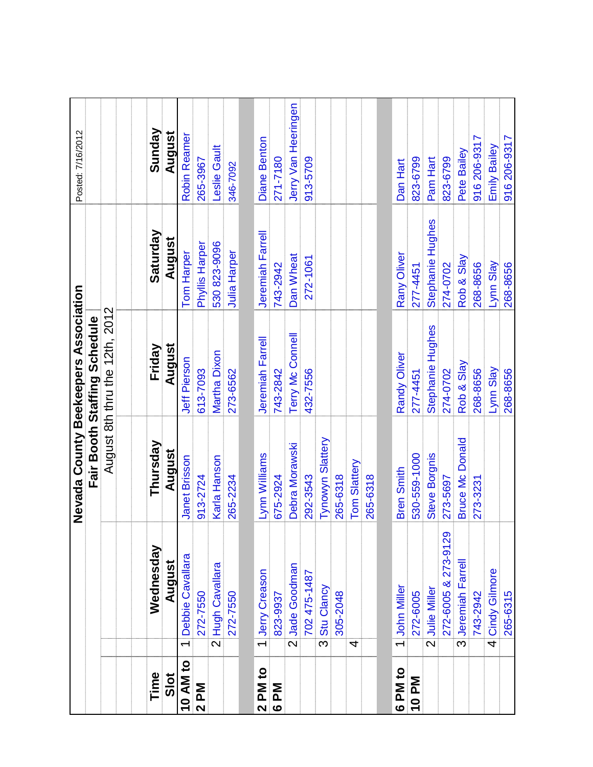|          |                           |                         | Nevada County Beekeepers Association |                                |                  | Posted: 7/16/2012   |
|----------|---------------------------|-------------------------|--------------------------------------|--------------------------------|------------------|---------------------|
|          |                           |                         |                                      | Fair Booth Staffing Schedule   |                  |                     |
|          |                           |                         |                                      | August 8th thru the 12th, 2012 |                  |                     |
|          |                           |                         |                                      |                                |                  |                     |
| Time     |                           | Wednesday               | Thursday                             | Friday                         | Saturday         | Sunday              |
| Slot     |                           | August                  | August                               | August                         | August           | August              |
| 10 AM to | $\overline{\phantom{0}}$  | <b>Debbie Cavallara</b> | Janet Brisson                        | Jeff Pierson                   | Tom Harper       | Robin Reamer        |
| 2PM      |                           | 272-7550                | 913-2724                             | 613-7093                       | Phyllis Harper   | 265-3967            |
|          |                           | 2 Hugh Cavallara        | Karla Hanson                         | Martha Dixon                   | 530 823-9096     | Leslie Gault        |
|          |                           | 272-7550                | 265-2234                             | 273-6562                       | Julia Harper     | 346-7092            |
|          |                           |                         |                                      |                                |                  |                     |
| 2 PM to  |                           | 1 Jerry Creason         | Lynn Williams                        | Jeremiah Farrell               | Jeremiah Farrell | <b>Diane Benton</b> |
| 6PM      |                           | 823-9937                | 675-2924                             | 743-2842                       | 743-2942         | 271-7180            |
|          |                           | 2 Jade Goodman          | Debra Morawski                       | Terry Mc Connell               | Dan Wheat        | Jerry Van Heeringen |
|          |                           | 702 475-1487            | 292-3543                             | 432-7556                       | 272-1061         | 913-5709            |
|          | $\overline{\mathfrak{S}}$ | Stu Clancy              | Tynowyn Slattery                     |                                |                  |                     |
|          |                           | 305-2048                | 265-6318                             |                                |                  |                     |
|          | 4                         |                         | Tom Slattery                         |                                |                  |                     |
|          |                           |                         | 265-6318                             |                                |                  |                     |
|          |                           |                         |                                      |                                |                  |                     |
| 6 PM to  |                           | 1 John Miller           | <b>Bren Smith</b>                    | Randy Oliver                   | Rany Oliver      | Dan Hart            |
| 10 PM    |                           | 272-6005                | 530-559-1000                         | 277-4451                       | 277-4451         | 823-6799            |
|          |                           | 2 Julie Miller          | Steve Borgnis                        | Stephanie Hughes               | Stephanie Hughes | Pam Hart            |
|          |                           | 272-6005 & 273-9129     | 273-5697                             | 274-0702                       | 274-0702         | 823-6799            |
|          |                           | 3 Jeremiah Farrell      | <b>Bruce Mc Donald</b>               | Rob & Slay                     | Rob & Slay       | Pete Bailey         |
|          |                           | 743-2942                | 273-3231                             | 268-8656                       | 268-8656         | 916 206-9317        |
|          |                           | 4 Cindy Gilmore         |                                      | Lynn Slay                      | Lynn Slay        | Emily Bailey        |
|          |                           | 265-6315                |                                      | 268-8656                       | 268-8656         | 916 206-9317        |